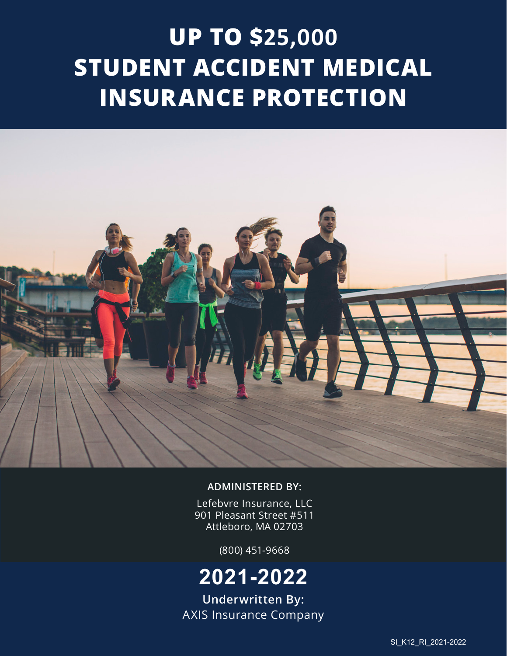# **UP TO \$25,000 STUDENT ACCIDENT MEDICAL INSURANCE PROTECTION**



#### **ADMINISTERED BY:**

Lefebvre Insurance, LLC 901 Pleasant Street #511 Attleboro, MA 02703

(800) 451-9668

## **2021-2022**

**Underwritten By:** AXIS Insurance Company

SI\_K12\_RI\_2021-2022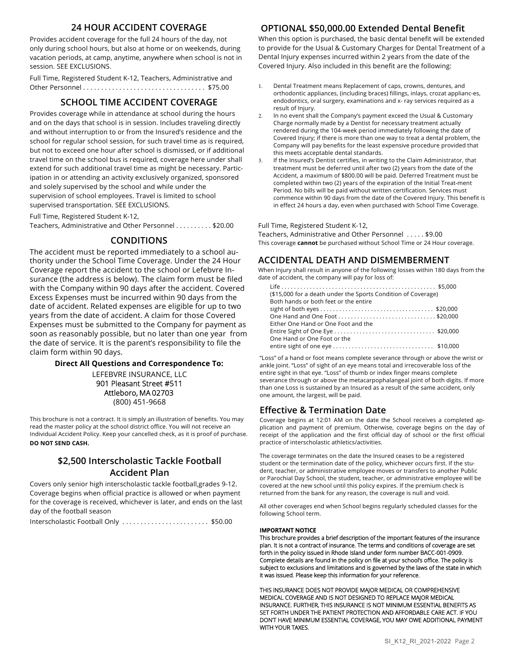#### **24 HOUR ACCIDENT COVERAGE**

Provides accident coverage for the full 24 hours of the day, not only during school hours, but also at home or on weekends, during vacation periods, at camp, anytime, anywhere when school is not in session. SEE EXCLUSIONS.

Full Time, Registered Student K-12, Teachers, Administrative and Other Personnel . . . . . . . . . . . . . . . . . . . . . . . . . . . . . . . . . . \$75.00

#### **SCHOOL TIME ACCIDENT COVERAGE**

Provides coverage while in attendance at school during the hours and on the days that school is in session. Includes traveling directly and without interruption to or from the Insured's residence and the school for regular school session, for such travel time as is required, but not to exceed one hour after school is dismissed, or if additional travel time on the school bus is required, coverage here under shall extend for such additional travel time as might be necessary. Participation in or attending an activity exclusively organized, sponsored and solely supervised by the school and while under the supervision of school employees. Travel is limited to school supervised transportation. SEE EXCLUSIONS.

Full Time, Registered Student K-12,

Teachers, Administrative and Other Personnel . . . . . . . . . . \$20.00

#### **CONDITIONS**

The accident must be reported immediately to a school authority under the School Time Coverage. Under the 24 Hour Coverage report the accident to the school or Lefebvre Insurance (the address is below). The claim form must be filed with the Company within 90 days after the accident. Covered Excess Expenses must be incurred within 90 days from the date of accident. Related expenses are eligible for up to two years from the date of accident. A claim for those Covered Expenses must be submitted to the Company for payment as soon as reasonably possible, but no later than one year from the date of service. It is the parent's responsibility to file the claim form within 90 days.

#### **Direct All Questions and Correspondence To:**

LEFEBVRE INSURANCE, LLC 901 Pleasant Street #511 Attleboro, MA 02703 (800) 451-9668

This brochure is not a contract. It is simply an illustration of benefits. You may read the master policy at the school district office. You will not receive an Individual Accident Policy. Keep your cancelled check, as it is proof of purchase. **DO NOT SEND CASH.**

#### **\$2,500 Interscholastic Tackle Football Accident Plan**

Covers only senior high interscholastic tackle football,grades 9-12. Coverage begins when official practice is allowed or when payment for the coverage is received, whichever is later, and ends on the last day of the football season

Interscholastic Football Only . . . . . . . . . . . . . . . . . . . . . . . . \$50.00

#### **OPTIONAL \$50,000.00 Extended Dental Benefit**

When this option is purchased, the basic dental benefit will be extended to provide for the Usual & Customary Charges for Dental Treatment of a Dental Injury expenses incurred within 2 years from the date of the Covered Injury. Also included in this benefit are the following:

- 1. Dental Treatment means Replacement of caps, crowns, dentures, and orthodontic appliances, (including braces) fillings, inlays, crozat applianc-es, endodontics, oral surgery, examinations and x- ray services required as a result of Injury.
- In no event shall the Company's payment exceed the Usual & Customary Charge normally made by a Dentist for necessary treatment actually rendered during the 104-week period immediately following the date of Covered Injury; if there is more than one way to treat a dental problem, the Company will pay benefits for the least expensive procedure provided that this meets acceptable dental standards.
- 3. If the Insured's Dentist certifies, in writing to the Claim Administrator, that treatment must be deferred until after two (2) years from the date of the Accident, a maximum of \$800.00 will be paid. Deferred Treatment must be completed within two (2) years of the expiration of the Initial Treat-ment Period. No bills will be paid without written certification. Services must commence within 90 days from the date of the Covered Injury. This benefit is in effect 24 hours a day, even when purchased with School Time Coverage.

#### Full Time, Registered Student K-12,

Teachers, Administrative and Other Personnel . . . . . \$9.00 This coverage **cannot** be purchased without School Time or 24 Hour coverage.

#### **ACCIDENTAL DEATH AND DISMEMBERMENT**

When Injury shall result in anyone of the following losses within 180 days from the date of accident, the company will pay for loss of:

| (\$15,000 for a death under the Sports Condition of Coverage)                                     |  |
|---------------------------------------------------------------------------------------------------|--|
| Both hands or both feet or the entire                                                             |  |
|                                                                                                   |  |
|                                                                                                   |  |
| Either One Hand or One Foot and the                                                               |  |
| Entire Sight of One Eye $\ldots \ldots \ldots \ldots \ldots \ldots \ldots \ldots \ldots$ \$20,000 |  |
| One Hand or One Foot or the                                                                       |  |
|                                                                                                   |  |

"Loss" of a hand or foot means complete severance through or above the wrist or ankle joint. "Loss" of sight of an eye means total and irrecoverable loss of the entire sight in that eye. "Loss" of thumb or index finger means complete severance through or above the metacarpophalangeal joint of both digits. If more than one Loss is sustained by an Insured as a result of the same accident, only one amount, the largest, will be paid.

#### **Effective & Termination Date**

Coverage begins at 12:01 AM on the date the School receives a completed application and payment of premium. Otherwise, coverage begins on the day of receipt of the application and the first official day of school or the first official practice of interscholastic athletics/activities.

The coverage terminates on the date the Insured ceases to be a registered student or the termination date of the policy, whichever occurs first. If the student, teacher, or administrative employee moves or transfers to another Public or Parochial Day School, the student, teacher, or administrative employee will be covered at the new school until this policy expires. If the premium check is returned from the bank for any reason, the coverage is null and void.

All other coverages end when School begins regularly scheduled classes for the following School term.

#### **IMPORTANT NOTICE**

This brochure provides a brief description of the important features of the insurance plan. It is not a contract of insurance. The terms and conditions of coverage are set forth in the policy issued in Rhode Island under form number BACC-001-0909. Complete details are found in the policy on file at your school's office. The policy is subject to exclusions and limitations and is governed by the laws of the state in which it was issued. Please keep this information for your reference.

THIS INSURANCE DOES NOT PROVIDE MAJOR MEDICAL OR COMPREHENSIVE MEDICAL COVERAGE AND IS NOT DESIGNED TO REPLACE MAJOR MEDICAL INSURANCE. FURTHER, THIS INSURANCE IS NOT MINIMUM ESSENTIAL BENEFITS AS SET FORTH UNDER THE PATIENT PROTECTION AND AFFORDABLE CARE ACT. IF YOU DON'T HAVE MINIMUM ESSENTIAL COVERAGE, YOU MAY OWE ADDITIONAL PAYMENT WITH YOUR TAXES.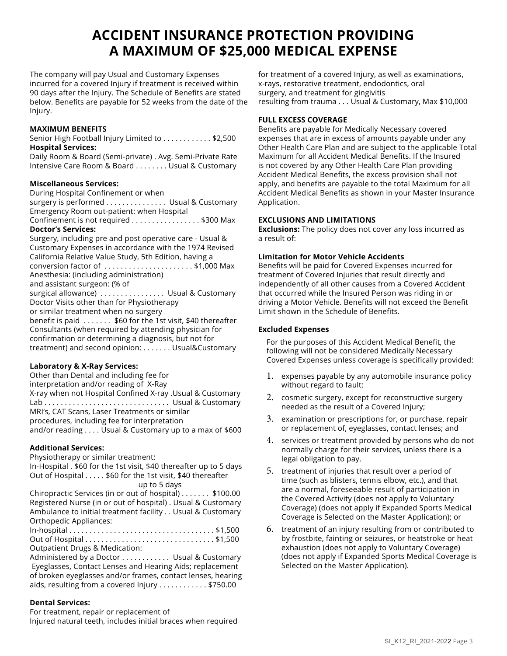## **ACCIDENT INSURANCE PROTECTION PROVIDING A MAXIMUM OF \$25,000 MEDICAL EXPENSE**

The company will pay Usual and Customary Expenses incurred for a covered Injury if treatment is received within 90 days after the Injury. The Schedule of Benefits are stated below. Benefits are payable for 52 weeks from the date of the Injury.

#### **MAXIMUM BENEFITS**

Senior High Football Injury Limited to . . . . . . . . . . . \$2,500 **Hospital Services:**

Daily Room & Board (Semi-private) . Avg. Semi-Private Rate Intensive Care Room & Board . . . . . . . . Usual & Customary

#### **Miscellaneous Services:**

During Hospital Confinement or when surgery is performed . . . . . . . . . . . . . . Usual & Customary Emergency Room out-patient: when Hospital Confinement is not required . . . . . . . . . . . . . . . \$300 Max **Doctor's Services:** Surgery, including pre and post operative care - Usual & Customary Expenses in accordance with the 1974 Revised

California Relative Value Study, 5th Edition, having a conversion factor of . . . . . . . . . . . . . . . . . . . . . . \$1,000 Max Anesthesia: (including administration) and assistant surgeon: (% of surgical allowance) . . . . . . . . . . . . . . . Usual & Customary Doctor Visits other than for Physiotherapy or similar treatment when no surgery benefit is paid  $\dots \dots$  \$60 for the 1st visit, \$40 thereafter Consultants (when required by attending physician for confirmation or determining a diagnosis, but not for treatment) and second opinion: . . . . . . . Usual&Customary

#### **Laboratory & X-Ray Services:**

Other than Dental and including fee for interpretation and/or reading of X-Ray X-ray when not Hospital Confined X-ray .Usual & Customary Lab . . . . . . . . . . . . . . . . . . . . . . . . . . . . . . . Usual & Customary MRI's, CAT Scans, Laser Treatments or similar procedures, including fee for interpretation and/or reading . . . . Usual & Customary up to a max of \$600

#### **Additional Services:**

Physiotherapy or similar treatment:

In-Hospital . \$60 for the 1st visit, \$40 thereafter up to 5 days Out of Hospital . . . . . \$60 for the 1st visit, \$40 thereafter up to 5 days

Chiropractic Services (in or out of hospital) . . . . . . . \$100.00 Registered Nurse (in or out of hospital) . Usual & Customary Ambulance to initial treatment facility . . Usual & Customary Orthopedic Appliances:

In-hospital . . . . . . . . . . . . . . . . . . . . . . . . . . . . . . . . . . . . \$1,500 Out of Hospital . . . . . . . . . . . . . . . . . . . . . . . . . . . . . . . . \$1,500

Outpatient Drugs & Medication:

Administered by a Doctor . . . . . . . . . . . . Usual & Customary Eyeglasses, Contact Lenses and Hearing Aids; replacement of broken eyeglasses and/or frames, contact lenses, hearing aids, resulting from a covered Injury . . . . . . . . . . . \$750.00

#### **Dental Services:**

For treatment, repair or replacement of Injured natural teeth, includes initial braces when required

for treatment of a covered Injury, as well as examinations, x-rays, restorative treatment, endodontics, oral surgery, and treatment for gingivitis resulting from trauma . . . Usual & Customary, Max \$10,000

#### **FULL EXCESS COVERAGE**

Benefits are payable for Medically Necessary covered expenses that are in excess of amounts payable under any Other Health Care Plan and are subject to the applicable Total Maximum for all Accident Medical Benefits. If the Insured is not covered by any Other Health Care Plan providing Accident Medical Benefits, the excess provision shall not apply, and benefits are payable to the total Maximum for all Accident Medical Benefits as shown in your Master Insurance Application.

#### **EXCLUSIONS AND LIMITATIONS**

**Exclusions:** The policy does not cover any loss incurred as a result of:

#### **Limitation for Motor Vehicle Accidents**

Benefits will be paid for Covered Expenses incurred for treatment of Covered Injuries that result directly and independently of all other causes from a Covered Accident that occurred while the Insured Person was riding in or driving a Motor Vehicle. Benefits will not exceed the Benefit Limit shown in the Schedule of Benefits.

#### **Excluded Expenses**

For the purposes of this Accident Medical Benefit, the following will not be considered Medically Necessary Covered Expenses unless coverage is specifically provided:

- 1. expenses payable by any automobile insurance policy without regard to fault;
- 2. cosmetic surgery, except for reconstructive surgery needed as the result of a Covered Injury;
- 3. examination or prescriptions for, or purchase, repair or replacement of, eyeglasses, contact lenses; and
- 4. services or treatment provided by persons who do not normally charge for their services, unless there is a legal obligation to pay.
- 5. treatment of injuries that result over a period of time (such as blisters, tennis elbow, etc.), and that are a normal, foreseeable result of participation in the Covered Activity (does not apply to Voluntary Coverage) (does not apply if Expanded Sports Medical Coverage is Selected on the Master Application); or
- 6. treatment of an injury resulting from or contributed to by frostbite, fainting or seizures, or heatstroke or heat exhaustion (does not apply to Voluntary Coverage) (does not apply if Expanded Sports Medical Coverage is Selected on the Master Application).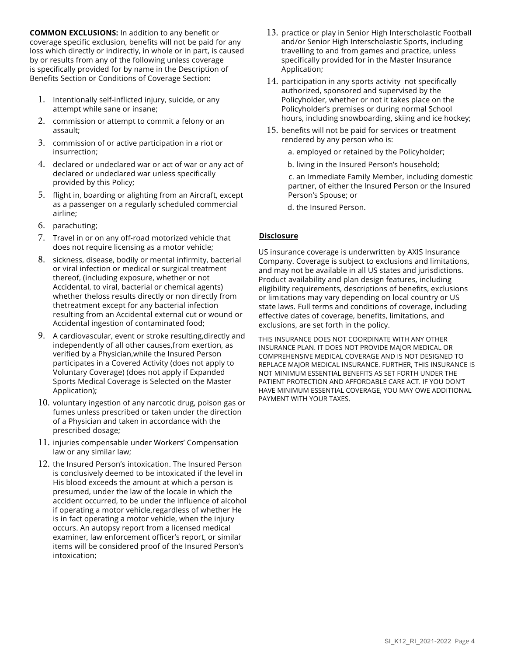**COMMON EXCLUSIONS:** In addition to any benefit or coverage specific exclusion, benefits will not be paid for any loss which directly or indirectly, in whole or in part, is caused by or results from any of the following unless coverage is specifically provided for by name in the Description of Benefits Section or Conditions of Coverage Section:

- 1. Intentionally self-inflicted injury, suicide, or any attempt while sane or insane;
- 2. commission or attempt to commit a felony or an assault;
- 3. commission of or active participation in a riot or insurrection;
- 4. declared or undeclared war or act of war or any act of declared or undeclared war unless specifically provided by this Policy;
- 5. flight in, boarding or alighting from an Aircraft, except as a passenger on a regularly scheduled commercial airline;
- 6. parachuting;
- 7. Travel in or on any off-road motorized vehicle that does not require licensing as a motor vehicle;
- 8. sickness, disease, bodily or mental infirmity, bacterial or viral infection or medical or surgical treatment thereof, (including exposure, whether or not Accidental, to viral, bacterial or chemical agents) whether theloss results directly or non directly from thetreatment except for any bacterial infection resulting from an Accidental external cut or wound or Accidental ingestion of contaminated food;
- 9. A cardiovascular, event or stroke resulting,directly and independently of all other causes,from exertion, as verified by a Physician,while the Insured Person participates in a Covered Activity (does not apply to Voluntary Coverage) (does not apply if Expanded Sports Medical Coverage is Selected on the Master Application);
- 10. voluntary ingestion of any narcotic drug, poison gas or fumes unless prescribed or taken under the direction of a Physician and taken in accordance with the prescribed dosage;
- 11. injuries compensable under Workers' Compensation law or any similar law;
- 12. the Insured Person's intoxication. The Insured Person is conclusively deemed to be intoxicated if the level in His blood exceeds the amount at which a person is presumed, under the law of the locale in which the accident occurred, to be under the influence of alcohol if operating a motor vehicle,regardless of whether He is in fact operating a motor vehicle, when the injury occurs. An autopsy report from a licensed medical examiner, law enforcement officer's report, or similar items will be considered proof of the Insured Person's intoxication;
- 13. practice or play in Senior High Interscholastic Football and/or Senior High Interscholastic Sports, including travelling to and from games and practice, unless specifically provided for in the Master Insurance Application;
- 14. participation in any sports activity not specifically authorized, sponsored and supervised by the Policyholder, whether or not it takes place on the Policyholder's premises or during normal School hours, including snowboarding, skiing and ice hockey;
- 15. benefits will not be paid for services or treatment rendered by any person who is:
	- a. employed or retained by the Policyholder;
	- b. living in the Insured Person's household;

c. an Immediate Family Member, including domestic partner, of either the Insured Person or the Insured Person's Spouse; or

d. the Insured Person.

#### **Disclosure**

US insurance coverage is underwritten by AXIS Insurance Company. Coverage is subject to exclusions and limitations, and may not be available in all US states and jurisdictions. Product availability and plan design features, including eligibility requirements, descriptions of benefits, exclusions or limitations may vary depending on local country or US state laws. Full terms and conditions of coverage, including effective dates of coverage, benefits, limitations, and exclusions, are set forth in the policy.

THIS INSURANCE DOES NOT COORDINATE WITH ANY OTHER INSURANCE PLAN. IT DOES NOT PROVIDE MAJOR MEDICAL OR COMPREHENSIVE MEDICAL COVERAGE AND IS NOT DESIGNED TO REPLACE MAJOR MEDICAL INSURANCE. FURTHER, THIS INSURANCE IS NOT MINIMUM ESSENTIAL BENEFITS AS SET FORTH UNDER THE PATIENT PROTECTION AND AFFORDABLE CARE ACT. IF YOU DON'T HAVE MINIMUM ESSENTIAL COVERAGE, YOU MAY OWE ADDITIONAL PAYMENT WITH YOUR TAXES.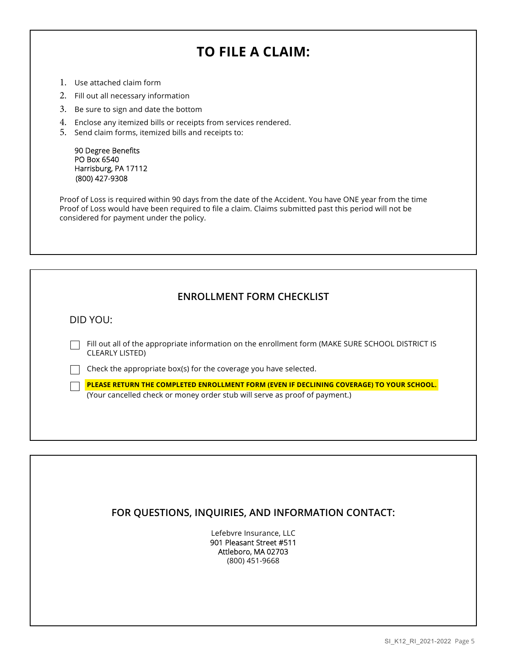## **TO FILE A CLAIM:**

- 1. Use attached claim form
- 2. Fill out all necessary information
- 3. Be sure to sign and date the bottom
- 4. Enclose any itemized bills or receipts from services rendered.
- 5. Send claim forms, itemized bills and receipts to:

90 Degree Benefits PO Box 6540 Harrisburg, PA 17112 (800) 427-9308

Proof of Loss is required within 90 days from the date of the Accident. You have ONE year from the time Proof of Loss would have been required to file a claim. Claims submitted past this period will not be considered for payment under the policy.

DID YOU:

Fill out all of the appropriate information on the enrollment form (MAKE SURE SCHOOL DISTRICT IS CLEARLY LISTED)

 $\Box$  Check the appropriate box(s) for the coverage you have selected.

**PLEASE RETURN THE COMPLETED ENROLLMENT FORM (EVEN IF DECLINING COVERAGE) TO YOUR SCHOOL.** (Your cancelled check or money order stub will serve as proof of payment.)

#### **FOR QUESTIONS, INQUIRIES, AND INFORMATION CONTACT:**

Lefebvre Insurance, LLC 901 Pleasant Street #511 Attleboro, MA 02703 (800) 451-9668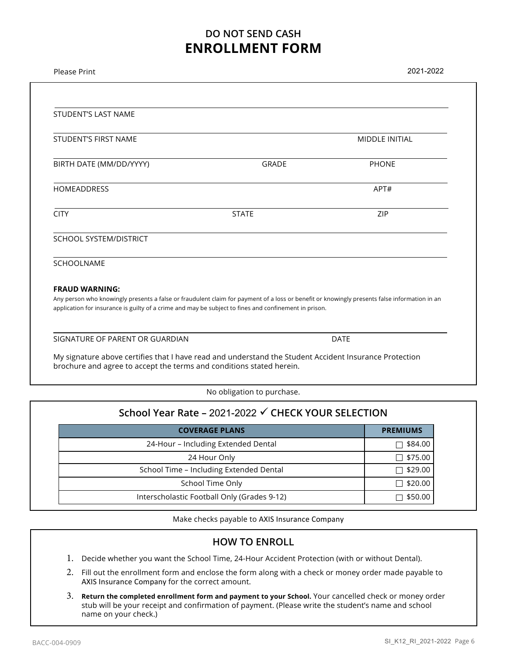### **DO NOT SEND CASH ENROLLMENT FORM**

| MIDDLE INITIAL<br><b>PHONE</b><br>APT#                                                                                                                                                                                                                |
|-------------------------------------------------------------------------------------------------------------------------------------------------------------------------------------------------------------------------------------------------------|
|                                                                                                                                                                                                                                                       |
|                                                                                                                                                                                                                                                       |
|                                                                                                                                                                                                                                                       |
|                                                                                                                                                                                                                                                       |
|                                                                                                                                                                                                                                                       |
| ZIP                                                                                                                                                                                                                                                   |
|                                                                                                                                                                                                                                                       |
|                                                                                                                                                                                                                                                       |
|                                                                                                                                                                                                                                                       |
| Any person who knowingly presents a false or fraudulent claim for payment of a loss or benefit or knowingly presents false information in an<br>application for insurance is guilty of a crime and may be subject to fines and confinement in prison. |
| <b>DATE</b>                                                                                                                                                                                                                                           |
| My signature above certifies that I have read and understand the Student Accident Insurance Protection                                                                                                                                                |
|                                                                                                                                                                                                                                                       |
|                                                                                                                                                                                                                                                       |

#### **School Year Rate –** 2021-2022 **CHECK YOUR SELECTION**

| <b>COVERAGE PLANS</b>                       | <b>PREMIUMS</b>     |
|---------------------------------------------|---------------------|
| 24-Hour - Including Extended Dental         | $\sqsupset$ \$84.00 |
| 24 Hour Only                                | $\Box$ \$75.00      |
| School Time – Including Extended Dental     | $\Box$ \$29.00      |
| School Time Only                            | ̄ \$20.00           |
| Interscholastic Football Only (Grades 9-12) | \$50.00             |

Make checks payable to AXIS Insurance Company

#### **HOW TO ENROLL**

- 1. Decide whether you want the School Time, 24-Hour Accident Protection (with or without Dental).
- 2. Fill out the enrollment form and enclose the form along with a check or money order made payable to AXIS Insurance Company for the correct amount.
- 3. **Return the completed enrollment form and payment to your School.** Your cancelled check or money order stub will be your receipt and confirmation of payment. (Please write the student's name and school name on your check.)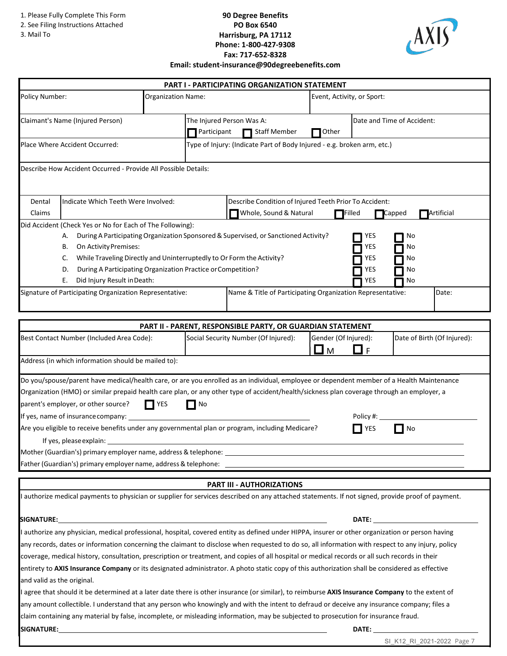- 2. See Filing Instructions Attached
- 3. Mail To

#### **90 Degree Benefits PO Box 6540 Harrisburg, PA 17112 Phone: 1-800-427-9308 Fax: 717-652-8328 Email: student-insurance@90degreebenefits.com**



|                                                                                                                                                                                                                                                                                                                                                                                                                                                                                                                                                                                                           |                                                                                                                                       | <b>PART I - PARTICIPATING ORGANIZATION STATEMENT</b>                                                                                              |                                        |                                                                                                                                                                                                                                     |  |
|-----------------------------------------------------------------------------------------------------------------------------------------------------------------------------------------------------------------------------------------------------------------------------------------------------------------------------------------------------------------------------------------------------------------------------------------------------------------------------------------------------------------------------------------------------------------------------------------------------------|---------------------------------------------------------------------------------------------------------------------------------------|---------------------------------------------------------------------------------------------------------------------------------------------------|----------------------------------------|-------------------------------------------------------------------------------------------------------------------------------------------------------------------------------------------------------------------------------------|--|
| Policy Number:                                                                                                                                                                                                                                                                                                                                                                                                                                                                                                                                                                                            | Organization Name:                                                                                                                    |                                                                                                                                                   | Event, Activity, or Sport:             |                                                                                                                                                                                                                                     |  |
| Claimant's Name (Injured Person)                                                                                                                                                                                                                                                                                                                                                                                                                                                                                                                                                                          | Participant                                                                                                                           | The Injured Person Was A:<br>Staff Member                                                                                                         | Other                                  | Date and Time of Accident:                                                                                                                                                                                                          |  |
| Place Where Accident Occurred:                                                                                                                                                                                                                                                                                                                                                                                                                                                                                                                                                                            |                                                                                                                                       | Type of Injury: (Indicate Part of Body Injured - e.g. broken arm, etc.)                                                                           |                                        |                                                                                                                                                                                                                                     |  |
| Describe How Accident Occurred - Provide All Possible Details:                                                                                                                                                                                                                                                                                                                                                                                                                                                                                                                                            |                                                                                                                                       |                                                                                                                                                   |                                        |                                                                                                                                                                                                                                     |  |
| Dental<br>Indicate Which Teeth Were Involved:<br>Claims                                                                                                                                                                                                                                                                                                                                                                                                                                                                                                                                                   |                                                                                                                                       | Describe Condition of Injured Teeth Prior To Accident:<br>Whole, Sound & Natural<br>Artificial<br>$\blacksquare$ Filled<br>$\blacksquare$ Capped  |                                        |                                                                                                                                                                                                                                     |  |
| Did Accident (Check Yes or No for Each of The Following):<br>А.<br>On Activity Premises:<br>В.<br>C.<br>D.<br>Did Injury Result in Death:<br>Е.<br>Signature of Participating Organization Representative:                                                                                                                                                                                                                                                                                                                                                                                                | While Traveling Directly and Uninterruptedly to Or Form the Activity?<br>During A Participating Organization Practice or Competition? | During A Participating Organization Sponsored & Supervised, or Sanctioned Activity?<br>Name & Title of Participating Organization Representative: | YES<br>YES<br>YES<br>YES<br><b>YES</b> | No<br>No<br>No<br>No<br>No<br>Date:                                                                                                                                                                                                 |  |
|                                                                                                                                                                                                                                                                                                                                                                                                                                                                                                                                                                                                           |                                                                                                                                       |                                                                                                                                                   |                                        |                                                                                                                                                                                                                                     |  |
|                                                                                                                                                                                                                                                                                                                                                                                                                                                                                                                                                                                                           |                                                                                                                                       | PART II - PARENT, RESPONSIBLE PARTY, OR GUARDIAN STATEMENT                                                                                        |                                        |                                                                                                                                                                                                                                     |  |
| Best Contact Number (Included Area Code):                                                                                                                                                                                                                                                                                                                                                                                                                                                                                                                                                                 |                                                                                                                                       | Social Security Number (Of Injured):                                                                                                              | Gender (Of Injured):<br>◘ м<br>∐F      | Date of Birth (Of Injured):                                                                                                                                                                                                         |  |
| Address (in which information should be mailed to):                                                                                                                                                                                                                                                                                                                                                                                                                                                                                                                                                       |                                                                                                                                       |                                                                                                                                                   |                                        |                                                                                                                                                                                                                                     |  |
| Do you/spouse/parent have medical/health care, or are you enrolled as an individual, employee or dependent member of a Health Maintenance<br>Organization (HMO) or similar prepaid health care plan, or any other type of accident/health/sickness plan coverage through an employer, a<br>parent's employer, or other source?<br>If yes, name of insurance company:<br>Are you eligible to receive benefits under any governmental plan or program, including Medicare?<br>If yes, please explain:                                                                                                       | $\Gamma$ YES<br>No                                                                                                                    |                                                                                                                                                   | Policy #:<br>YES                       | ∣ No                                                                                                                                                                                                                                |  |
| Mother (Guardian's) primary employer name, address & telephone:<br>Father (Guardian's) primary employer name, address & telephone:                                                                                                                                                                                                                                                                                                                                                                                                                                                                        |                                                                                                                                       |                                                                                                                                                   |                                        |                                                                                                                                                                                                                                     |  |
|                                                                                                                                                                                                                                                                                                                                                                                                                                                                                                                                                                                                           |                                                                                                                                       | PART III - AUTHORIZATIONS                                                                                                                         |                                        |                                                                                                                                                                                                                                     |  |
| authorize medical payments to physician or supplier for services described on any attached statements. If not signed, provide proof of payment.                                                                                                                                                                                                                                                                                                                                                                                                                                                           |                                                                                                                                       |                                                                                                                                                   |                                        |                                                                                                                                                                                                                                     |  |
|                                                                                                                                                                                                                                                                                                                                                                                                                                                                                                                                                                                                           |                                                                                                                                       |                                                                                                                                                   |                                        | <b>DATE:</b> the contract of the contract of the contract of the contract of the contract of the contract of the contract of the contract of the contract of the contract of the contract of the contract of the contract of the co |  |
| I authorize any physician, medical professional, hospital, covered entity as defined under HIPPA, insurer or other organization or person having<br>any records, dates or information concerning the claimant to disclose when requested to do so, all information with respect to any injury, policy<br>coverage, medical history, consultation, prescription or treatment, and copies of all hospital or medical records or all such records in their<br>entirety to AXIS Insurance Company or its designated administrator. A photo static copy of this authorization shall be considered as effective |                                                                                                                                       |                                                                                                                                                   |                                        |                                                                                                                                                                                                                                     |  |
| and valid as the original.<br>I agree that should it be determined at a later date there is other insurance (or similar), to reimburse AXIS Insurance Company to the extent of<br>any amount collectible. I understand that any person who knowingly and with the intent to defraud or deceive any insurance company; files a<br>claim containing any material by false, incomplete, or misleading information, may be subjected to prosecution for insurance fraud.                                                                                                                                      |                                                                                                                                       |                                                                                                                                                   |                                        |                                                                                                                                                                                                                                     |  |
| <b>SIGNATURE:</b>                                                                                                                                                                                                                                                                                                                                                                                                                                                                                                                                                                                         | and the control of the control of the control of the control of the control of the control of the control of the                      |                                                                                                                                                   | DATE:                                  |                                                                                                                                                                                                                                     |  |

SI\_K12\_RI\_2021-2022 Page 7